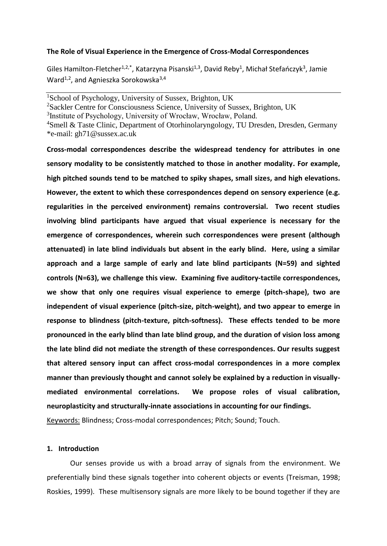# **The Role of Visual Experience in the Emergence of Cross-Modal Correspondences**

Giles Hamilton-Fletcher<sup>1,2,\*</sup>, Katarzyna Pisanski<sup>1,3</sup>, David Reby<sup>1</sup>, Michał Stefańczyk<sup>3</sup>, Jamie Ward<sup>1,2</sup>, and Agnieszka Sorokowska<sup>3,4</sup>

<sup>1</sup>School of Psychology, University of Sussex, Brighton, UK <sup>2</sup>Sackler Centre for Consciousness Science, University of Sussex, Brighton, UK <sup>3</sup>Institute of Psychology, University of Wrocław, Wrocław, Poland. <sup>4</sup>Smell & Taste Clinic, Department of Otorhinolaryngology, TU Dresden, Dresden, Germany \*e-mail: gh71@sussex.ac.uk

**Cross-modal correspondences describe the widespread tendency for attributes in one sensory modality to be consistently matched to those in another modality. For example, high pitched sounds tend to be matched to spiky shapes, small sizes, and high elevations. However, the extent to which these correspondences depend on sensory experience (e.g. regularities in the perceived environment) remains controversial. Two recent studies involving blind participants have argued that visual experience is necessary for the emergence of correspondences, wherein such correspondences were present (although attenuated) in late blind individuals but absent in the early blind. Here, using a similar approach and a large sample of early and late blind participants (N=59) and sighted controls (N=63), we challenge this view. Examining five auditory-tactile correspondences, we show that only one requires visual experience to emerge (pitch-shape), two are independent of visual experience (pitch-size, pitch-weight), and two appear to emerge in response to blindness (pitch-texture, pitch-softness). These effects tended to be more pronounced in the early blind than late blind group, and the duration of vision loss among the late blind did not mediate the strength of these correspondences. Our results suggest that altered sensory input can affect cross-modal correspondences in a more complex manner than previously thought and cannot solely be explained by a reduction in visuallymediated environmental correlations. We propose roles of visual calibration, neuroplasticity and structurally-innate associations in accounting for our findings.**

Keywords: Blindness; Cross-modal correspondences; Pitch; Sound; Touch.

# **1. Introduction**

Our senses provide us with a broad array of signals from the environment. We preferentially bind these signals together into coherent objects or events (Treisman, 1998; Roskies, 1999). These multisensory signals are more likely to be bound together if they are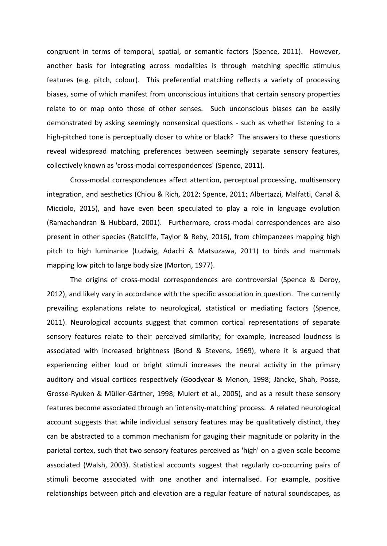congruent in terms of temporal, spatial, or semantic factors (Spence, 2011). However, another basis for integrating across modalities is through matching specific stimulus features (e.g. pitch, colour). This preferential matching reflects a variety of processing biases, some of which manifest from unconscious intuitions that certain sensory properties relate to or map onto those of other senses. Such unconscious biases can be easily demonstrated by asking seemingly nonsensical questions - such as whether listening to a high-pitched tone is perceptually closer to white or black? The answers to these questions reveal widespread matching preferences between seemingly separate sensory features, collectively known as 'cross-modal correspondences' (Spence, 2011).

Cross-modal correspondences affect attention, perceptual processing, multisensory integration, and aesthetics (Chiou & Rich, 2012; Spence, 2011; Albertazzi, Malfatti, Canal & Micciolo, 2015), and have even been speculated to play a role in language evolution (Ramachandran & Hubbard, 2001). Furthermore, cross-modal correspondences are also present in other species (Ratcliffe, Taylor & Reby, 2016), from chimpanzees mapping high pitch to high luminance (Ludwig, Adachi & Matsuzawa, 2011) to birds and mammals mapping low pitch to large body size (Morton, 1977).

The origins of cross-modal correspondences are controversial (Spence & Deroy, 2012), and likely vary in accordance with the specific association in question. The currently prevailing explanations relate to neurological, statistical or mediating factors (Spence, 2011). Neurological accounts suggest that common cortical representations of separate sensory features relate to their perceived similarity; for example, increased loudness is associated with increased brightness (Bond & Stevens, 1969), where it is argued that experiencing either loud or bright stimuli increases the neural activity in the primary auditory and visual cortices respectively (Goodyear & Menon, 1998; Jäncke, Shah, Posse, Grosse-Ryuken & Müller-Gärtner, 1998; Mulert et al., 2005), and as a result these sensory features become associated through an 'intensity-matching' process. A related neurological account suggests that while individual sensory features may be qualitatively distinct, they can be abstracted to a common mechanism for gauging their magnitude or polarity in the parietal cortex, such that two sensory features perceived as 'high' on a given scale become associated (Walsh, 2003). Statistical accounts suggest that regularly co-occurring pairs of stimuli become associated with one another and internalised. For example, positive relationships between pitch and elevation are a regular feature of natural soundscapes, as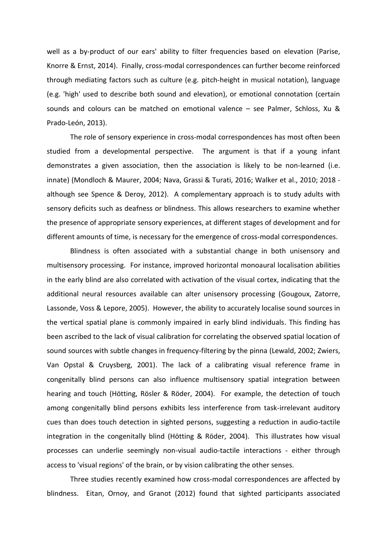well as a by-product of our ears' ability to filter frequencies based on elevation (Parise, Knorre & Ernst, 2014). Finally, cross-modal correspondences can further become reinforced through mediating factors such as culture (e.g. pitch-height in musical notation), language (e.g. 'high' used to describe both sound and elevation), or emotional connotation (certain sounds and colours can be matched on emotional valence – see Palmer, Schloss, Xu & Prado-León, 2013).

The role of sensory experience in cross-modal correspondences has most often been studied from a developmental perspective. The argument is that if a young infant demonstrates a given association, then the association is likely to be non-learned (i.e. innate) (Mondloch & Maurer, 2004; Nava, Grassi & Turati, 2016; Walker et al., 2010; 2018 although see Spence & Deroy, 2012). A complementary approach is to study adults with sensory deficits such as deafness or blindness. This allows researchers to examine whether the presence of appropriate sensory experiences, at different stages of development and for different amounts of time, is necessary for the emergence of cross-modal correspondences.

Blindness is often associated with a substantial change in both unisensory and multisensory processing. For instance, improved horizontal monoaural localisation abilities in the early blind are also correlated with activation of the visual cortex, indicating that the additional neural resources available can alter unisensory processing (Gougoux, Zatorre, Lassonde, Voss & Lepore, 2005). However, the ability to accurately localise sound sources in the vertical spatial plane is commonly impaired in early blind individuals. This finding has been ascribed to the lack of visual calibration for correlating the observed spatial location of sound sources with subtle changes in frequency-filtering by the pinna (Lewald, 2002; Zwiers, Van Opstal & Cruysberg, 2001). The lack of a calibrating visual reference frame in congenitally blind persons can also influence multisensory spatial integration between hearing and touch (Hötting, Rösler & Röder, 2004). For example, the detection of touch among congenitally blind persons exhibits less interference from task-irrelevant auditory cues than does touch detection in sighted persons, suggesting a reduction in audio-tactile integration in the congenitally blind (Hötting & Röder, 2004). This illustrates how visual processes can underlie seemingly non-visual audio-tactile interactions - either through access to 'visual regions' of the brain, or by vision calibrating the other senses.

Three studies recently examined how cross-modal correspondences are affected by blindness. Eitan, Ornoy, and Granot (2012) found that sighted participants associated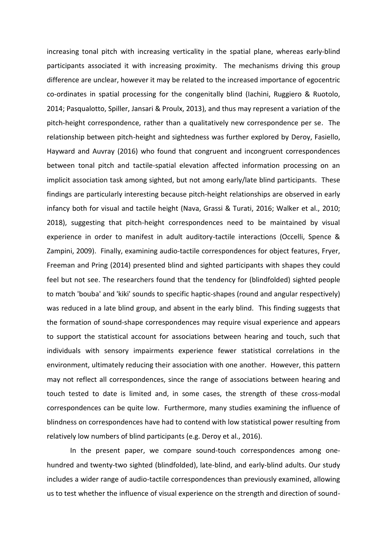increasing tonal pitch with increasing verticality in the spatial plane, whereas early-blind participants associated it with increasing proximity. The mechanisms driving this group difference are unclear, however it may be related to the increased importance of egocentric co-ordinates in spatial processing for the congenitally blind (Iachini, Ruggiero & Ruotolo, 2014; Pasqualotto, Spiller, Jansari & Proulx, 2013), and thus may represent a variation of the pitch-height correspondence, rather than a qualitatively new correspondence per se. The relationship between pitch-height and sightedness was further explored by Deroy, Fasiello, Hayward and Auvray (2016) who found that congruent and incongruent correspondences between tonal pitch and tactile-spatial elevation affected information processing on an implicit association task among sighted, but not among early/late blind participants. These findings are particularly interesting because pitch-height relationships are observed in early infancy both for visual and tactile height (Nava, Grassi & Turati, 2016; Walker et al., 2010; 2018), suggesting that pitch-height correspondences need to be maintained by visual experience in order to manifest in adult auditory-tactile interactions (Occelli, Spence & Zampini, 2009). Finally, examining audio-tactile correspondences for object features, Fryer, Freeman and Pring (2014) presented blind and sighted participants with shapes they could feel but not see. The researchers found that the tendency for (blindfolded) sighted people to match 'bouba' and 'kiki' sounds to specific haptic-shapes (round and angular respectively) was reduced in a late blind group, and absent in the early blind. This finding suggests that the formation of sound-shape correspondences may require visual experience and appears to support the statistical account for associations between hearing and touch, such that individuals with sensory impairments experience fewer statistical correlations in the environment, ultimately reducing their association with one another. However, this pattern may not reflect all correspondences, since the range of associations between hearing and touch tested to date is limited and, in some cases, the strength of these cross-modal correspondences can be quite low. Furthermore, many studies examining the influence of blindness on correspondences have had to contend with low statistical power resulting from relatively low numbers of blind participants (e.g. Deroy et al., 2016).

In the present paper, we compare sound-touch correspondences among onehundred and twenty-two sighted (blindfolded), late-blind, and early-blind adults. Our study includes a wider range of audio-tactile correspondences than previously examined, allowing us to test whether the influence of visual experience on the strength and direction of sound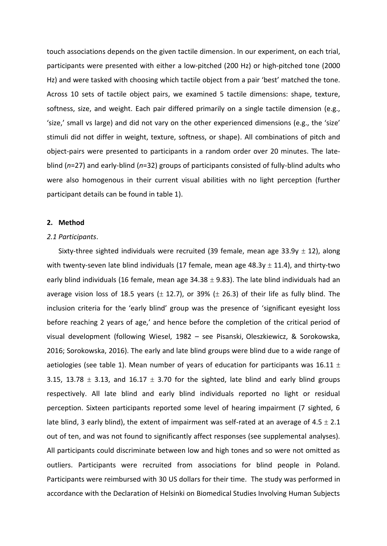touch associations depends on the given tactile dimension. In our experiment, on each trial, participants were presented with either a low-pitched (200 Hz) or high-pitched tone (2000 Hz) and were tasked with choosing which tactile object from a pair 'best' matched the tone. Across 10 sets of tactile object pairs, we examined 5 tactile dimensions: shape, texture, softness, size, and weight. Each pair differed primarily on a single tactile dimension (e.g., 'size,' small vs large) and did not vary on the other experienced dimensions (e.g., the 'size' stimuli did not differ in weight, texture, softness, or shape). All combinations of pitch and object-pairs were presented to participants in a random order over 20 minutes. The lateblind (*n*=27) and early-blind (*n*=32) groups of participants consisted of fully-blind adults who were also homogenous in their current visual abilities with no light perception (further participant details can be found in table 1).

## **2. Method**

#### *2.1 Participants*.

Sixty-three sighted individuals were recruited (39 female, mean age 33.9y  $\pm$  12), along with twenty-seven late blind individuals (17 female, mean age  $48.3y \pm 11.4$ ), and thirty-two early blind individuals (16 female, mean age  $34.38 \pm 9.83$ ). The late blind individuals had an average vision loss of 18.5 years ( $\pm$  12.7), or 39% ( $\pm$  26.3) of their life as fully blind. The inclusion criteria for the 'early blind' group was the presence of 'significant eyesight loss before reaching 2 years of age,' and hence before the completion of the critical period of visual development (following Wiesel, 1982 – see Pisanski, Oleszkiewicz, & Sorokowska, 2016; Sorokowska, 2016). The early and late blind groups were blind due to a wide range of aetiologies (see table 1). Mean number of years of education for participants was 16.11  $\pm$ 3.15, 13.78  $\pm$  3.13, and 16.17  $\pm$  3.70 for the sighted, late blind and early blind groups respectively. All late blind and early blind individuals reported no light or residual perception. Sixteen participants reported some level of hearing impairment (7 sighted, 6 late blind, 3 early blind), the extent of impairment was self-rated at an average of  $4.5 \pm 2.1$ out of ten, and was not found to significantly affect responses (see supplemental analyses). All participants could discriminate between low and high tones and so were not omitted as outliers. Participants were recruited from associations for blind people in Poland. Participants were reimbursed with 30 US dollars for their time. The study was performed in accordance with the Declaration of Helsinki on Biomedical Studies Involving Human Subjects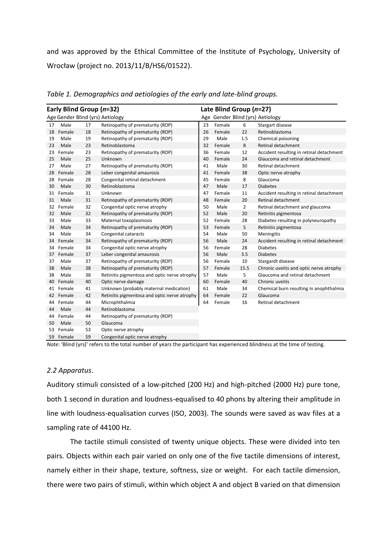and was approved by the Ethical Committee of the Institute of Psychology, University of Wrocław (project no. 2013/11/B/HS6/01522).

| Early Blind Group (n=32)         |           |    |                                              |    | Late Blind Group (n=27)          |                |                                          |  |
|----------------------------------|-----------|----|----------------------------------------------|----|----------------------------------|----------------|------------------------------------------|--|
| Age Gender Blind (yrs) Aetiology |           |    |                                              |    | Age Gender Blind (yrs) Aetiology |                |                                          |  |
| 17                               | Male      | 17 | Retinopathy of prematurity (ROP)             | 23 | Female                           | 6              | Stargart disease                         |  |
| 18                               | Female    | 18 | Retinopathy of prematurity (ROP)             | 26 | Female                           | 22             | Retinoblastoma                           |  |
| 19                               | Male      | 19 | Retinopathy of prematurity (ROP)             | 29 | Male                             | 1.5            | Chemical poisoning                       |  |
| 23                               | Male      | 23 | Retinoblastoma                               | 32 | Female                           | 8              | Retinal detachment                       |  |
| 23                               | Female    | 23 | Retinopathy of prematurity (ROP)             | 36 | Female                           | 12             | Accident resulting in retinal detachment |  |
| 25                               | Male      | 25 | Unknown                                      | 40 | Female                           | 24             | Glaucoma and retinal detachment          |  |
| 27                               | Male      | 27 | Retinopathy of prematurity (ROP)             | 41 | Male                             | 30             | Retinal detachment                       |  |
| 28                               | Female    | 28 | Leber congenital amaurosis                   | 41 | Female                           | 38             | Optic nerve atrophy                      |  |
| 28                               | Female    | 28 | Congenital retinal detachment                | 45 | Female                           | 8              | Glaucoma                                 |  |
| 30                               | Male      | 30 | Retinoblastoma                               | 47 | Male                             | 17             | <b>Diabetes</b>                          |  |
| 31                               | Female    | 31 | Unknown                                      | 47 | Female                           | 11             | Accident resulting in retinal detachment |  |
| 31                               | Male      | 31 | Retinopathy of prematurity (ROP)             | 48 | Female                           | 20             | Retinal detachment                       |  |
| 32                               | Female    | 32 | Congenital optic nerve atrophy               | 50 | Male                             | $\overline{2}$ | Retinal detachment and glaucoma          |  |
| 32                               | Male      | 32 | Retinopathy of prematurity (ROP)             | 52 | Male                             | 20             | Retinitis pigmentosa                     |  |
| 33                               | Male      | 33 | Maternal toxoplasmosis                       | 52 | Female                           | 28             | Diabetes resulting in polyneuropathy     |  |
| 34                               | Male      | 34 | Retinopathy of prematurity (ROP)             | 53 | Female                           | 5              | Retinitis pigmentosa                     |  |
| 34                               | Male      | 34 | Congenital cataracts                         | 54 | Male                             | 50             | Meningitis                               |  |
| 34                               | Female    | 34 | Retinopathy of prematurity (ROP)             | 56 | Male                             | 24             | Accident resulting in retinal detachment |  |
| 34                               | Female    | 34 | Congenital optic nerve atrophy               | 56 | Female                           | 28             | <b>Diabetes</b>                          |  |
| 37                               | Female    | 37 | Leber congenital amaurosis                   | 56 | Male                             | 3.5            | <b>Diabetes</b>                          |  |
| 37                               | Male      | 37 | Retinopathy of prematurity (ROP)             | 56 | Female                           | 10             | Stargardt disease                        |  |
| 38                               | Male      | 38 | Retinopathy of prematurity (ROP)             | 57 | Female                           | 15.5           | Chronic uveitis and optic nerve atrophy  |  |
| 38                               | Male      | 38 | Retinitis pigmentosa and optic nerve atrophy | 57 | Male                             | 5              | Glaucoma and retinal detachment          |  |
| 40                               | Female    | 40 | Optic nerve damage                           | 60 | Female                           | 40             | Chronic uveitis                          |  |
| 41                               | Female    | 41 | Unknown (probably maternal medication)       | 61 | Male                             | 34             | Chemical burn resulting in anophthalmia  |  |
|                                  | 42 Female | 42 | Retinitis pigmentosa and optic nerve atrophy | 64 | Female                           | 22             | Glaucoma                                 |  |
| 44                               | Female    | 44 | Microphthalmia                               | 64 | Female                           | 16             | Retinal detachment                       |  |
| 44                               | Male      | 44 | Retinoblastoma                               |    |                                  |                |                                          |  |
| 44                               | Female    | 44 | Retinopathy of prematurity (ROP)             |    |                                  |                |                                          |  |
| 50                               | Male      | 50 | Glaucoma                                     |    |                                  |                |                                          |  |
| 53                               | Female    | 53 | Optic nerve atrophy                          |    |                                  |                |                                          |  |
| 59                               | Female    | 59 | Congenital optic nerve atrophy               |    |                                  |                |                                          |  |

*Table 1. Demographics and aetiologies of the early and late-blind groups.*

*Note*: 'Blind (yrs)' refers to the total number of years the participant has experienced blindness at the time of testing.

## *2.2 Apparatus*.

Auditory stimuli consisted of a low-pitched (200 Hz) and high-pitched (2000 Hz) pure tone, both 1 second in duration and loudness-equalised to 40 phons by altering their amplitude in line with loudness-equalisation curves (ISO, 2003). The sounds were saved as wav files at a sampling rate of 44100 Hz.

The tactile stimuli consisted of twenty unique objects. These were divided into ten pairs. Objects within each pair varied on only one of the five tactile dimensions of interest, namely either in their shape, texture, softness, size or weight. For each tactile dimension, there were two pairs of stimuli, within which object A and object B varied on that dimension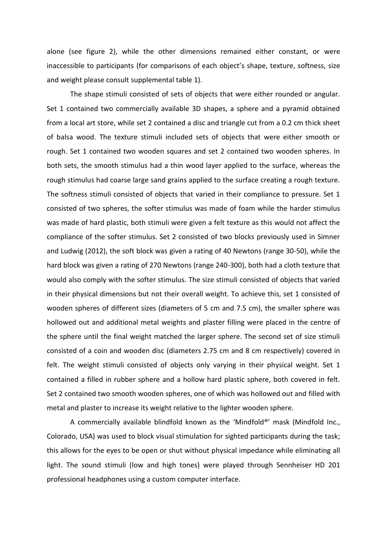alone (see figure 2), while the other dimensions remained either constant, or were inaccessible to participants (for comparisons of each object's shape, texture, softness, size and weight please consult supplemental table 1).

The shape stimuli consisted of sets of objects that were either rounded or angular. Set 1 contained two commercially available 3D shapes, a sphere and a pyramid obtained from a local art store, while set 2 contained a disc and triangle cut from a 0.2 cm thick sheet of balsa wood. The texture stimuli included sets of objects that were either smooth or rough. Set 1 contained two wooden squares and set 2 contained two wooden spheres. In both sets, the smooth stimulus had a thin wood layer applied to the surface, whereas the rough stimulus had coarse large sand grains applied to the surface creating a rough texture. The softness stimuli consisted of objects that varied in their compliance to pressure. Set 1 consisted of two spheres, the softer stimulus was made of foam while the harder stimulus was made of hard plastic, both stimuli were given a felt texture as this would not affect the compliance of the softer stimulus. Set 2 consisted of two blocks previously used in Simner and Ludwig (2012), the soft block was given a rating of 40 Newtons (range 30-50), while the hard block was given a rating of 270 Newtons (range 240-300), both had a cloth texture that would also comply with the softer stimulus. The size stimuli consisted of objects that varied in their physical dimensions but not their overall weight. To achieve this, set 1 consisted of wooden spheres of different sizes (diameters of 5 cm and 7.5 cm), the smaller sphere was hollowed out and additional metal weights and plaster filling were placed in the centre of the sphere until the final weight matched the larger sphere. The second set of size stimuli consisted of a coin and wooden disc (diameters 2.75 cm and 8 cm respectively) covered in felt. The weight stimuli consisted of objects only varying in their physical weight. Set 1 contained a filled in rubber sphere and a hollow hard plastic sphere, both covered in felt. Set 2 contained two smooth wooden spheres, one of which was hollowed out and filled with metal and plaster to increase its weight relative to the lighter wooden sphere.

A commercially available blindfold known as the 'Mindfold®' mask (Mindfold Inc., Colorado, USA) was used to block visual stimulation for sighted participants during the task; this allows for the eyes to be open or shut without physical impedance while eliminating all light. The sound stimuli (low and high tones) were played through Sennheiser HD 201 professional headphones using a custom computer interface.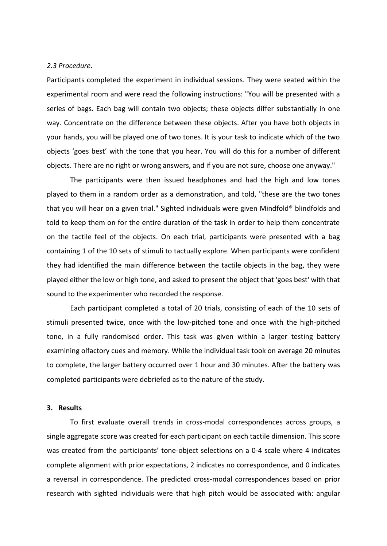#### *2.3 Procedure*.

Participants completed the experiment in individual sessions. They were seated within the experimental room and were read the following instructions: "You will be presented with a series of bags. Each bag will contain two objects; these objects differ substantially in one way. Concentrate on the difference between these objects. After you have both objects in your hands, you will be played one of two tones. It is your task to indicate which of the two objects 'goes best' with the tone that you hear. You will do this for a number of different objects. There are no right or wrong answers, and if you are not sure, choose one anyway."

The participants were then issued headphones and had the high and low tones played to them in a random order as a demonstration, and told, "these are the two tones that you will hear on a given trial." Sighted individuals were given Mindfold® blindfolds and told to keep them on for the entire duration of the task in order to help them concentrate on the tactile feel of the objects. On each trial, participants were presented with a bag containing 1 of the 10 sets of stimuli to tactually explore. When participants were confident they had identified the main difference between the tactile objects in the bag, they were played either the low or high tone, and asked to present the object that 'goes best' with that sound to the experimenter who recorded the response.

Each participant completed a total of 20 trials, consisting of each of the 10 sets of stimuli presented twice, once with the low-pitched tone and once with the high-pitched tone, in a fully randomised order. This task was given within a larger testing battery examining olfactory cues and memory. While the individual task took on average 20 minutes to complete, the larger battery occurred over 1 hour and 30 minutes. After the battery was completed participants were debriefed as to the nature of the study.

# **3. Results**

To first evaluate overall trends in cross-modal correspondences across groups, a single aggregate score was created for each participant on each tactile dimension. This score was created from the participants' tone-object selections on a 0-4 scale where 4 indicates complete alignment with prior expectations, 2 indicates no correspondence, and 0 indicates a reversal in correspondence. The predicted cross-modal correspondences based on prior research with sighted individuals were that high pitch would be associated with: angular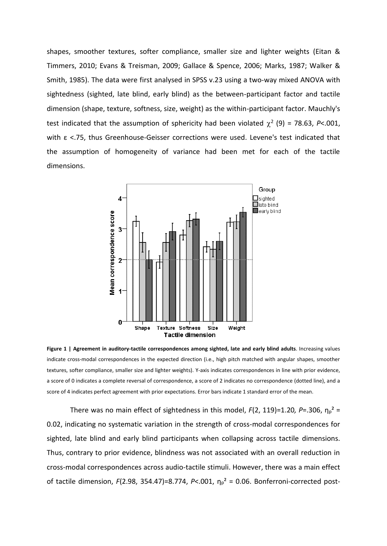shapes, smoother textures, softer compliance, smaller size and lighter weights (Eitan & Timmers, 2010; Evans & Treisman, 2009; Gallace & Spence, 2006; Marks, 1987; Walker & Smith, 1985). The data were first analysed in SPSS v.23 using a two-way mixed ANOVA with sightedness (sighted, late blind, early blind) as the between-participant factor and tactile dimension (shape, texture, softness, size, weight) as the within-participant factor. Mauchly's test indicated that the assumption of sphericity had been violated  $\chi^2$  (9) = 78.63, *P*<.001, with ε <.75, thus Greenhouse-Geisser corrections were used. Levene's test indicated that the assumption of homogeneity of variance had been met for each of the tactile dimensions.



**Figure 1 | Agreement in auditory-tactile correspondences among sighted, late and early blind adults**. Increasing values indicate cross-modal correspondences in the expected direction (i.e., high pitch matched with angular shapes, smoother textures, softer compliance, smaller size and lighter weights). Y-axis indicates correspondences in line with prior evidence, a score of 0 indicates a complete reversal of correspondence, a score of 2 indicates no correspondence (dotted line), and a score of 4 indicates perfect agreement with prior expectations. Error bars indicate 1 standard error of the mean.

There was no main effect of sightedness in this model,  $F(2, 119)=1.20$ ,  $P=.306$ ,  $\eta_p^2 =$ 0.02, indicating no systematic variation in the strength of cross-modal correspondences for sighted, late blind and early blind participants when collapsing across tactile dimensions. Thus, contrary to prior evidence, blindness was not associated with an overall reduction in cross-modal correspondences across audio-tactile stimuli. However, there was a main effect of tactile dimension, *F*(2.98, 354.47)=8.774, *P*<.001,  $η<sub>p</sub><sup>2</sup> = 0.06$ . Bonferroni-corrected post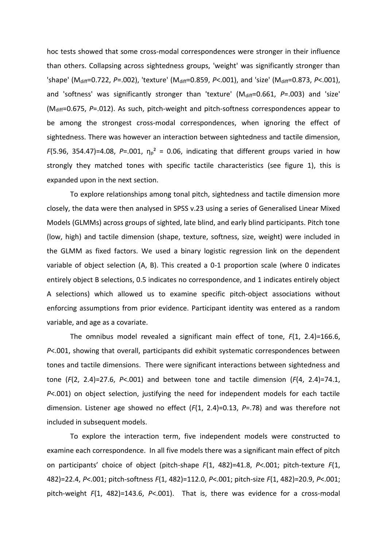hoc tests showed that some cross-modal correspondences were stronger in their influence than others. Collapsing across sightedness groups, 'weight' was significantly stronger than 'shape' (M<sub>diff</sub>=0.722, P=.002), 'texture' (M<sub>diff</sub>=0.859, P<.001), and 'size' (M<sub>diff</sub>=0.873, P<.001), and 'softness' was significantly stronger than 'texture' (M<sub>diff</sub>=0.661, P=.003) and 'size' (M<sub>diff</sub>=0.675, P=.012). As such, pitch-weight and pitch-softness correspondences appear to be among the strongest cross-modal correspondences, when ignoring the effect of sightedness. There was however an interaction between sightedness and tactile dimension, *F*(5.96, 354.47)=4.08, *P*=.001,  $\eta_p^2$  = 0.06, indicating that different groups varied in how strongly they matched tones with specific tactile characteristics (see figure 1), this is expanded upon in the next section.

To explore relationships among tonal pitch, sightedness and tactile dimension more closely, the data were then analysed in SPSS v.23 using a series of Generalised Linear Mixed Models (GLMMs) across groups of sighted, late blind, and early blind participants. Pitch tone (low, high) and tactile dimension (shape, texture, softness, size, weight) were included in the GLMM as fixed factors. We used a binary logistic regression link on the dependent variable of object selection (A, B). This created a 0-1 proportion scale (where 0 indicates entirely object B selections, 0.5 indicates no correspondence, and 1 indicates entirely object A selections) which allowed us to examine specific pitch-object associations without enforcing assumptions from prior evidence. Participant identity was entered as a random variable, and age as a covariate.

The omnibus model revealed a significant main effect of tone, *F*(1, 2.4)=166.6, *P*<.001, showing that overall, participants did exhibit systematic correspondences between tones and tactile dimensions. There were significant interactions between sightedness and tone (*F*(2, 2.4)=27.6, *P*<.001) and between tone and tactile dimension (*F*(4, 2.4)=74.1, *P*<.001) on object selection, justifying the need for independent models for each tactile dimension. Listener age showed no effect (*F*(1, 2.4)=0.13, *P*=.78) and was therefore not included in subsequent models.

To explore the interaction term, five independent models were constructed to examine each correspondence. In all five models there was a significant main effect of pitch on participants' choice of object (pitch-shape *F*(1, 482)=41.8, *P*<.001; pitch-texture *F*(1, 482)=22.4, *P*<.001; pitch-softness *F*(1, 482)=112.0, *P*<.001; pitch-size *F*(1, 482)=20.9, *P*<.001; pitch-weight *F*(1, 482)=143.6, *P*<.001). That is, there was evidence for a cross-modal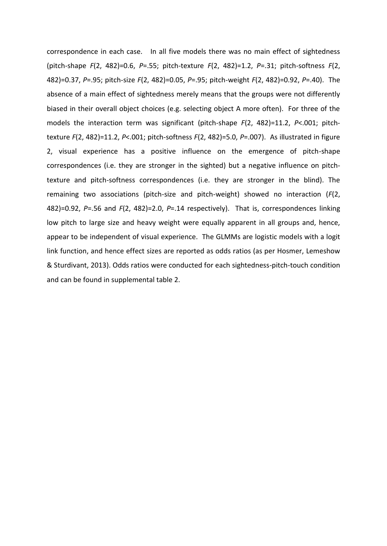correspondence in each case. In all five models there was no main effect of sightedness (pitch-shape *F*(2, 482)=0.6, *P*=.55; pitch-texture *F*(2, 482)=1.2, *P*=.31; pitch-softness *F*(2, 482)=0.37, *P*=.95; pitch-size *F*(2, 482)=0.05, *P*=.95; pitch-weight *F*(2, 482)=0.92, *P*=.40). The absence of a main effect of sightedness merely means that the groups were not differently biased in their overall object choices (e.g. selecting object A more often). For three of the models the interaction term was significant (pitch-shape *F*(2, 482)=11.2, *P*<.001; pitchtexture *F*(2, 482)=11.2, *P*<.001; pitch-softness *F*(2, 482)=5.0, *P*=.007). As illustrated in figure 2, visual experience has a positive influence on the emergence of pitch-shape correspondences (i.e. they are stronger in the sighted) but a negative influence on pitchtexture and pitch-softness correspondences (i.e. they are stronger in the blind). The remaining two associations (pitch-size and pitch-weight) showed no interaction (*F*(2, 482)=0.92, *P*=.56 and *F*(2, 482)=2.0, *P*=.14 respectively). That is, correspondences linking low pitch to large size and heavy weight were equally apparent in all groups and, hence, appear to be independent of visual experience. The GLMMs are logistic models with a logit link function, and hence effect sizes are reported as odds ratios (as per Hosmer, Lemeshow & Sturdivant, 2013). Odds ratios were conducted for each sightedness-pitch-touch condition and can be found in supplemental table 2.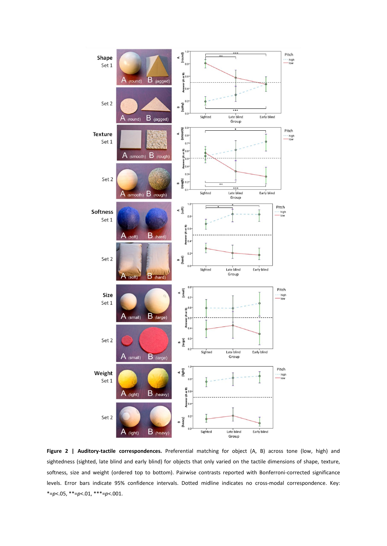

**Figure 2 | Auditory-tactile correspondences.** Preferential matching for object (A, B) across tone (low, high) and sightedness (sighted, late blind and early blind) for objects that only varied on the tactile dimensions of shape, texture, softness, size and weight (ordered top to bottom). Pairwise contrasts reported with Bonferroni-corrected significance levels. Error bars indicate 95% confidence intervals. Dotted midline indicates no cross-modal correspondence. Key: \*=*p*<.05, \*\*=*p*<.01, \*\*\*=*p*<.001.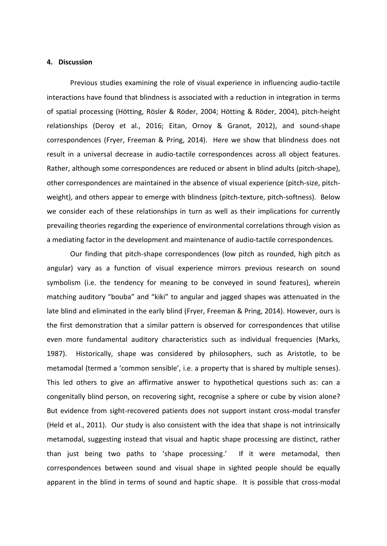### **4. Discussion**

Previous studies examining the role of visual experience in influencing audio-tactile interactions have found that blindness is associated with a reduction in integration in terms of spatial processing (Hötting, Rösler & Röder, 2004; Hötting & Röder, 2004), pitch-height relationships (Deroy et al., 2016; Eitan, Ornoy & Granot, 2012), and sound-shape correspondences (Fryer, Freeman & Pring, 2014). Here we show that blindness does not result in a universal decrease in audio-tactile correspondences across all object features. Rather, although some correspondences are reduced or absent in blind adults (pitch-shape), other correspondences are maintained in the absence of visual experience (pitch-size, pitchweight), and others appear to emerge with blindness (pitch-texture, pitch-softness). Below we consider each of these relationships in turn as well as their implications for currently prevailing theories regarding the experience of environmental correlations through vision as a mediating factor in the development and maintenance of audio-tactile correspondences.

Our finding that pitch-shape correspondences (low pitch as rounded, high pitch as angular) vary as a function of visual experience mirrors previous research on sound symbolism (i.e. the tendency for meaning to be conveyed in sound features), wherein matching auditory "bouba" and "kiki" to angular and jagged shapes was attenuated in the late blind and eliminated in the early blind (Fryer, Freeman & Pring, 2014). However, ours is the first demonstration that a similar pattern is observed for correspondences that utilise even more fundamental auditory characteristics such as individual frequencies (Marks, 1987). Historically, shape was considered by philosophers, such as Aristotle, to be metamodal (termed a 'common sensible', i.e. a property that is shared by multiple senses). This led others to give an affirmative answer to hypothetical questions such as: can a congenitally blind person, on recovering sight, recognise a sphere or cube by vision alone? But evidence from sight-recovered patients does not support instant cross-modal transfer (Held et al., 2011). Our study is also consistent with the idea that shape is not intrinsically metamodal, suggesting instead that visual and haptic shape processing are distinct, rather than just being two paths to 'shape processing.' If it were metamodal, then correspondences between sound and visual shape in sighted people should be equally apparent in the blind in terms of sound and haptic shape. It is possible that cross-modal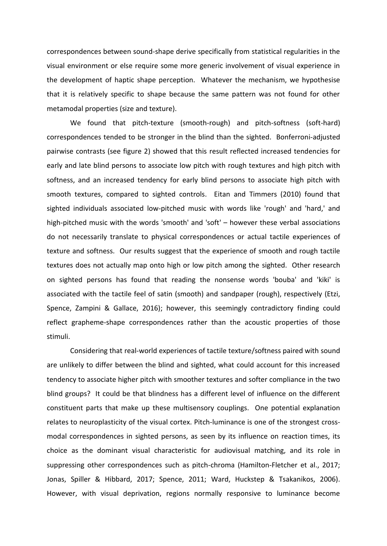correspondences between sound-shape derive specifically from statistical regularities in the visual environment or else require some more generic involvement of visual experience in the development of haptic shape perception. Whatever the mechanism, we hypothesise that it is relatively specific to shape because the same pattern was not found for other metamodal properties (size and texture).

We found that pitch-texture (smooth-rough) and pitch-softness (soft-hard) correspondences tended to be stronger in the blind than the sighted. Bonferroni-adjusted pairwise contrasts (see figure 2) showed that this result reflected increased tendencies for early and late blind persons to associate low pitch with rough textures and high pitch with softness, and an increased tendency for early blind persons to associate high pitch with smooth textures, compared to sighted controls. Eitan and Timmers (2010) found that sighted individuals associated low-pitched music with words like 'rough' and 'hard,' and high-pitched music with the words 'smooth' and 'soft' – however these verbal associations do not necessarily translate to physical correspondences or actual tactile experiences of texture and softness. Our results suggest that the experience of smooth and rough tactile textures does not actually map onto high or low pitch among the sighted. Other research on sighted persons has found that reading the nonsense words 'bouba' and 'kiki' is associated with the tactile feel of satin (smooth) and sandpaper (rough), respectively (Etzi, Spence, Zampini & Gallace, 2016); however, this seemingly contradictory finding could reflect grapheme-shape correspondences rather than the acoustic properties of those stimuli.

Considering that real-world experiences of tactile texture/softness paired with sound are unlikely to differ between the blind and sighted, what could account for this increased tendency to associate higher pitch with smoother textures and softer compliance in the two blind groups? It could be that blindness has a different level of influence on the different constituent parts that make up these multisensory couplings. One potential explanation relates to neuroplasticity of the visual cortex. Pitch-luminance is one of the strongest crossmodal correspondences in sighted persons, as seen by its influence on reaction times, its choice as the dominant visual characteristic for audiovisual matching, and its role in suppressing other correspondences such as pitch-chroma (Hamilton-Fletcher et al., 2017; Jonas, Spiller & Hibbard, 2017; Spence, 2011; Ward, Huckstep & Tsakanikos, 2006). However, with visual deprivation, regions normally responsive to luminance become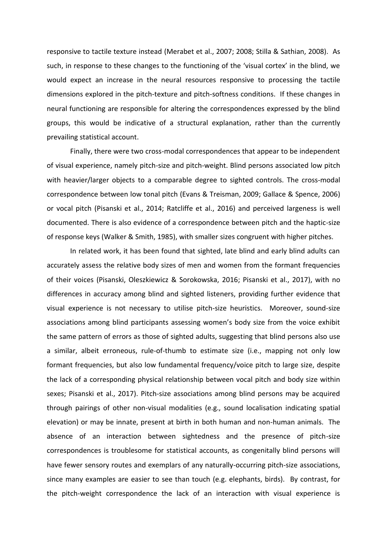responsive to tactile texture instead (Merabet et al., 2007; 2008; Stilla & Sathian, 2008). As such, in response to these changes to the functioning of the 'visual cortex' in the blind, we would expect an increase in the neural resources responsive to processing the tactile dimensions explored in the pitch-texture and pitch-softness conditions. If these changes in neural functioning are responsible for altering the correspondences expressed by the blind groups, this would be indicative of a structural explanation, rather than the currently prevailing statistical account.

Finally, there were two cross-modal correspondences that appear to be independent of visual experience, namely pitch-size and pitch-weight. Blind persons associated low pitch with heavier/larger objects to a comparable degree to sighted controls. The cross-modal correspondence between low tonal pitch (Evans & Treisman, 2009; Gallace & Spence, 2006) or vocal pitch (Pisanski et al., 2014; Ratcliffe et al., 2016) and perceived largeness is well documented. There is also evidence of a correspondence between pitch and the haptic-size of response keys (Walker & Smith, 1985), with smaller sizes congruent with higher pitches.

In related work, it has been found that sighted, late blind and early blind adults can accurately assess the relative body sizes of men and women from the formant frequencies of their voices (Pisanski, Oleszkiewicz & Sorokowska, 2016; Pisanski et al., 2017), with no differences in accuracy among blind and sighted listeners, providing further evidence that visual experience is not necessary to utilise pitch-size heuristics. Moreover, sound-size associations among blind participants assessing women's body size from the voice exhibit the same pattern of errors as those of sighted adults, suggesting that blind persons also use a similar, albeit erroneous, rule-of-thumb to estimate size (i.e., mapping not only low formant frequencies, but also low fundamental frequency/voice pitch to large size, despite the lack of a corresponding physical relationship between vocal pitch and body size within sexes; Pisanski et al., 2017). Pitch-size associations among blind persons may be acquired through pairings of other non-visual modalities (e.g., sound localisation indicating spatial elevation) or may be innate, present at birth in both human and non-human animals. The absence of an interaction between sightedness and the presence of pitch-size correspondences is troublesome for statistical accounts, as congenitally blind persons will have fewer sensory routes and exemplars of any naturally-occurring pitch-size associations, since many examples are easier to see than touch (e.g. elephants, birds). By contrast, for the pitch-weight correspondence the lack of an interaction with visual experience is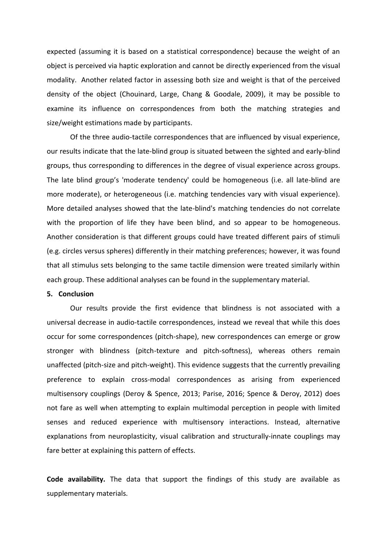expected (assuming it is based on a statistical correspondence) because the weight of an object is perceived via haptic exploration and cannot be directly experienced from the visual modality. Another related factor in assessing both size and weight is that of the perceived density of the object (Chouinard, Large, Chang & Goodale, 2009), it may be possible to examine its influence on correspondences from both the matching strategies and size/weight estimations made by participants.

Of the three audio-tactile correspondences that are influenced by visual experience, our results indicate that the late-blind group is situated between the sighted and early-blind groups, thus corresponding to differences in the degree of visual experience across groups. The late blind group's 'moderate tendency' could be homogeneous (i.e. all late-blind are more moderate), or heterogeneous (i.e. matching tendencies vary with visual experience). More detailed analyses showed that the late-blind's matching tendencies do not correlate with the proportion of life they have been blind, and so appear to be homogeneous. Another consideration is that different groups could have treated different pairs of stimuli (e.g. circles versus spheres) differently in their matching preferences; however, it was found that all stimulus sets belonging to the same tactile dimension were treated similarly within each group. These additional analyses can be found in the supplementary material.

# **5. Conclusion**

Our results provide the first evidence that blindness is not associated with a universal decrease in audio-tactile correspondences, instead we reveal that while this does occur for some correspondences (pitch-shape), new correspondences can emerge or grow stronger with blindness (pitch-texture and pitch-softness), whereas others remain unaffected (pitch-size and pitch-weight). This evidence suggests that the currently prevailing preference to explain cross-modal correspondences as arising from experienced multisensory couplings (Deroy & Spence, 2013; Parise, 2016; Spence & Deroy, 2012) does not fare as well when attempting to explain multimodal perception in people with limited senses and reduced experience with multisensory interactions. Instead, alternative explanations from neuroplasticity, visual calibration and structurally-innate couplings may fare better at explaining this pattern of effects.

**Code availability.** The data that support the findings of this study are available as supplementary materials.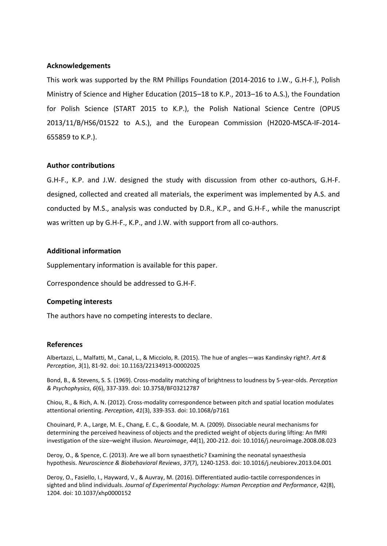## **Acknowledgements**

This work was supported by the RM Phillips Foundation (2014-2016 to J.W., G.H-F.), Polish Ministry of Science and Higher Education (2015–18 to K.P., 2013–16 to A.S.), the Foundation for Polish Science (START 2015 to K.P.), the Polish National Science Centre (OPUS 2013/11/B/HS6/01522 to A.S.), and the European Commission (H2020-MSCA-IF-2014- 655859 to K.P.).

### **Author contributions**

G.H-F., K.P. and J.W. designed the study with discussion from other co-authors, G.H-F. designed, collected and created all materials, the experiment was implemented by A.S. and conducted by M.S., analysis was conducted by D.R., K.P., and G.H-F., while the manuscript was written up by G.H-F., K.P., and J.W. with support from all co-authors.

### **Additional information**

Supplementary information is available for this paper.

Correspondence should be addressed to G.H-F.

## **Competing interests**

The authors have no competing interests to declare.

#### **References**

Albertazzi, L., Malfatti, M., Canal, L., & Micciolo, R. (2015). The hue of angles—was Kandinsky right?. *Art & Perception*, *3*(1), 81-92. doi: 10.1163/22134913-00002025

Bond, B., & Stevens, S. S. (1969). Cross-modality matching of brightness to loudness by 5-year-olds. *Perception & Psychophysics*, *6*(6), 337-339. doi: 10.3758/BF03212787

Chiou, R., & Rich, A. N. (2012). Cross-modality correspondence between pitch and spatial location modulates attentional orienting. *Perception*, *41*(3), 339-353. doi: 10.1068/p7161

Chouinard, P. A., Large, M. E., Chang, E. C., & Goodale, M. A. (2009). Dissociable neural mechanisms for determining the perceived heaviness of objects and the predicted weight of objects during lifting: An fMRI investigation of the size–weight illusion. *Neuroimage*, *44*(1), 200-212. doi: 10.1016/j.neuroimage.2008.08.023

Deroy, O., & Spence, C. (2013). Are we all born synaesthetic? Examining the neonatal synaesthesia hypothesis. *Neuroscience & Biobehavioral Reviews*, *37*(7), 1240-1253. doi: 10.1016/j.neubiorev.2013.04.001

Deroy, O., Fasiello, I., Hayward, V., & Auvray, M. (2016). Differentiated audio-tactile correspondences in sighted and blind individuals. *Journal of Experimental Psychology: Human Perception and Performance*, 42(8), 1204. doi: 10.1037/xhp0000152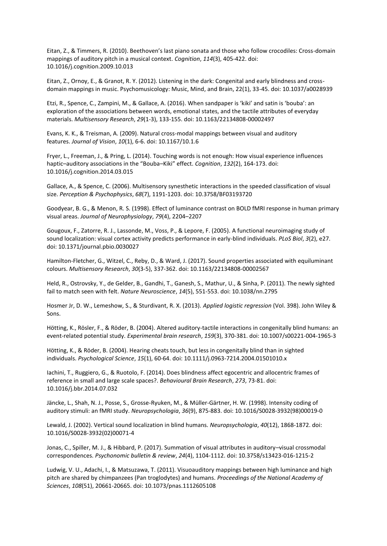Eitan, Z., & Timmers, R. (2010). Beethoven's last piano sonata and those who follow crocodiles: Cross-domain mappings of auditory pitch in a musical context. *Cognition*, *114*(3), 405-422. doi: 10.1016/j.cognition.2009.10.013

Eitan, Z., Ornoy, E., & Granot, R. Y. (2012). Listening in the dark: Congenital and early blindness and crossdomain mappings in music. Psychomusicology: Music, Mind, and Brain, 22(1), 33-45. doi: 10.1037/a0028939

Etzi, R., Spence, C., Zampini, M., & Gallace, A. (2016). When sandpaper is 'kiki' and satin is 'bouba': an exploration of the associations between words, emotional states, and the tactile attributes of everyday materials. *Multisensory Research*, *29*(1-3), 133-155. doi: 10.1163/22134808-00002497

Evans, K. K., & Treisman, A. (2009). Natural cross-modal mappings between visual and auditory features. *Journal of Vision*, *10*(1), 6-6. doi: 10.1167/10.1.6

Fryer, L., Freeman, J., & Pring, L. (2014). Touching words is not enough: How visual experience influences haptic–auditory associations in the "Bouba–Kiki" effect. *Cognition*, *132*(2), 164-173. doi: 10.1016/j.cognition.2014.03.015

Gallace, A., & Spence, C. (2006). Multisensory synesthetic interactions in the speeded classification of visual size. *Perception & Psychophysics*, *68*(7), 1191-1203. doi: 10.3758/BF03193720

Goodyear, B. G., & Menon, R. S. (1998). Effect of luminance contrast on BOLD fMRI response in human primary visual areas. *Journal of Neurophysiology*, *79*(4), 2204–2207

Gougoux, F., Zatorre, R. J., Lassonde, M., Voss, P., & Lepore, F. (2005). A functional neuroimaging study of sound localization: visual cortex activity predicts performance in early-blind individuals. *PLoS Biol*, *3*(2), e27. doi: 10.1371/journal.pbio.0030027

Hamilton-Fletcher, G., Witzel, C., Reby, D., & Ward, J. (2017). Sound properties associated with equiluminant colours. *Multisensory Research*, *30*(3-5), 337-362. doi: 10.1163/22134808-00002567

Held, R., Ostrovsky, Y., de Gelder, B., Gandhi, T., Ganesh, S., Mathur, U., & Sinha, P. (2011). The newly sighted fail to match seen with felt. *Nature Neuroscience*, *14*(5), 551-553. doi: 10.1038/nn.2795

Hosmer Jr, D. W., Lemeshow, S., & Sturdivant, R. X. (2013). *Applied logistic regression* (Vol. 398). John Wiley & Sons.

Hötting, K., Rösler, F., & Röder, B. (2004). Altered auditory-tactile interactions in congenitally blind humans: an event-related potential study. *Experimental brain research*, *159*(3), 370-381. doi: 10.1007/s00221-004-1965-3

Hötting, K., & Röder, B. (2004). Hearing cheats touch, but less in congenitally blind than in sighted individuals. *Psychological Science*, *15*(1), 60-64. doi: 10.1111/j.0963-7214.2004.01501010.x

Iachini, T., Ruggiero, G., & Ruotolo, F. (2014). Does blindness affect egocentric and allocentric frames of reference in small and large scale spaces?. *Behavioural Brain Research*, *273*, 73-81. doi: 10.1016/j.bbr.2014.07.032

Jäncke, L., Shah, N. J., Posse, S., Grosse-Ryuken, M., & Müller-Gärtner, H. W. (1998). Intensity coding of auditory stimuli: an fMRI study. *Neuropsychologia*, *36*(9), 875-883. doi: 10.1016/S0028-3932(98)00019-0

Lewald, J. (2002). Vertical sound localization in blind humans. *Neuropsychologia*, *40*(12), 1868-1872. doi: 10.1016/S0028-3932(02)00071-4

Jonas, C., Spiller, M. J., & Hibbard, P. (2017). Summation of visual attributes in auditory–visual crossmodal correspondences. *Psychonomic bulletin & review*, *24*(4), 1104-1112. doi: 10.3758/s13423-016-1215-2

Ludwig, V. U., Adachi, I., & Matsuzawa, T. (2011). Visuoauditory mappings between high luminance and high pitch are shared by chimpanzees (Pan troglodytes) and humans. *Proceedings of the National Academy of Sciences*, *108*(51), 20661-20665. doi: 10.1073/pnas.1112605108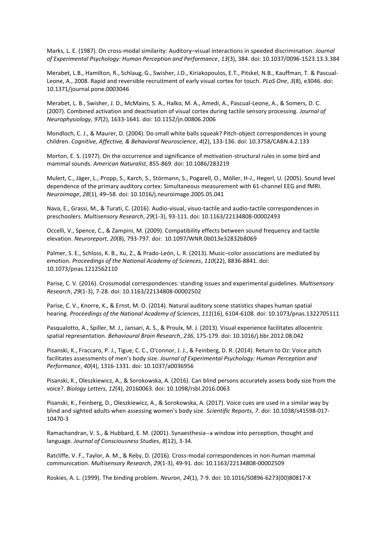Marks, L. E. (1987). On cross-modal similarity: Auditory–visual interactions in speeded discrimination. *Journal of Experimental Psychology: Human Perception and Performance*, *13*(3), 384. doi: 10.1037/0096-1523.13.3.384

Merabet, L.B., Hamilton, R., Schlaug, G., Swisher, J.D., Kiriakopoulos, E.T., Pitskel, N.B., Kauffman, T. & Pascual-Leone, A., 2008. Rapid and reversible recruitment of early visual cortex for touch. *PLoS One*, *3*(8), e3046. doi: 10.1371/journal.pone.0003046

Merabet, L. B., Swisher, J. D., McMains, S. A., Halko, M. A., Amedi, A., Pascual-Leone, A., & Somers, D. C. (2007). Combined activation and deactivation of visual cortex during tactile sensory processing. *Journal of Neurophysiology*, *97*(2), 1633-1641. doi: 10.1152/jn.00806.2006

Mondloch, C. J., & Maurer, D. (2004). Do small white balls squeak? Pitch-object correspondences in young children. *Cognitive, Affective, & Behavioral Neuroscience*, *4*(2), 133-136. doi: 10.3758/CABN.4.2.133

Morton, E. S. (1977). On the occurrence and significance of motivation-structural rules in some bird and mammal sounds. *American Naturalist*, 855-869. doi: 10.1086/283219

Mulert, C., Jäger, L., Propp, S., Karch, S., Störmann, S., Pogarell, O., Möller, H-J., Hegerl, U. (2005). Sound level dependence of the primary auditory cortex: Simultaneous measurement with 61-channel EEG and fMRI. *Neuroimage*, *28*(1), 49–58. doi: 10.1016/j.neuroimage.2005.05.041

Nava, E., Grassi, M., & Turati, C. (2016). Audio-visual, visuo-tactile and audio-tactile correspondences in preschoolers. *Multisensory Research*, *29*(1-3), 93-111. doi: 10.1163/22134808-00002493

Occelli, V., Spence, C., & Zampini, M. (2009). Compatibility effects between sound frequency and tactile elevation. *Neuroreport*, *20*(8), 793-797. doi: 10.1097/WNR.0b013e32832b8069

Palmer, S. E., Schloss, K. B., Xu, Z., & Prado-León, L. R. (2013). Music–color associations are mediated by emotion. *Proceedings of the National Academy of Sciences*, *110*(22), 8836-8841. doi: 10.1073/pnas.1212562110

Parise, C. V. (2016). Crossmodal correspondences: standing issues and experimental guidelines. *Multisensory Research*, *29*(1-3), 7-28. doi: 10.1163/22134808-00002502

Parise, C. V., Knorre, K., & Ernst, M. O. (2014). Natural auditory scene statistics shapes human spatial hearing. *Proceedings of the National Academy of Sciences*, *111*(16), 6104-6108. doi: 10.1073/pnas.1322705111

Pasqualotto, A., Spiller, M. J., Jansari, A. S., & Proulx, M. J. (2013). Visual experience facilitates allocentric spatial representation. *Behavioural Brain Research*, *236*, 175-179. doi: 10.1016/j.bbr.2012.08.042

Pisanski, K., Fraccaro, P. J., Tigue, C. C., O'connor, J. J., & Feinberg, D. R. (2014). Return to Oz: Voice pitch facilitates assessments of men's body size. *Journal of Experimental Psychology: Human Perception and Performance*, *40*(4), 1316-1331. doi: 10.1037/a0036956

Pisanski, K., Oleszkiewicz, A., & Sorokowska, A. (2016). Can blind persons accurately assess body size from the voice?. *Biology Letters*, *12*(4), 20160063. doi: 10.1098/rsbl.2016.0063

Pisanski, K., Feinberg, D., Oleszkiewicz, A., & Sorokowska, A. (2017). Voice cues are used in a similar way by blind and sighted adults when assessing women's body size. *Scientific Reports*, *7*. doi: 10.1038/s41598-017- 10470-3

Ramachandran, V. S., & Hubbard, E. M. (2001). Synaesthesia--a window into perception, thought and language. *Journal of Consciousness Studies*, *8*(12), 3-34.

Ratcliffe, V. F., Taylor, A. M., & Reby, D. (2016). Cross-modal correspondences in non-human mammal communication. *Multisensory Research*, *29*(1-3), 49-91. doi: 10.1163/22134808-00002509

Roskies, A. L. (1999). The binding problem. *Neuron*, *24*(1), 7-9. doi: 10.1016/S0896-6273(00)80817-X